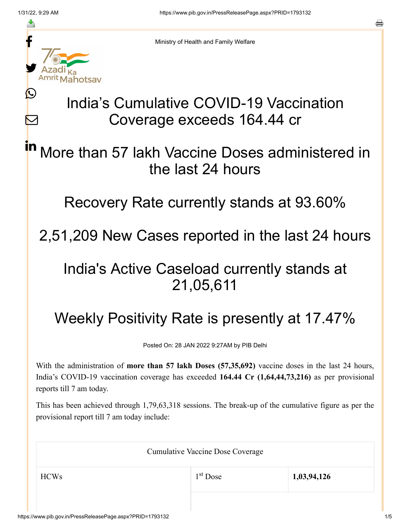≛

Ŀ

 $\bm{\nabla}$ 



Ministry of Health and Family Welfare

## India's Cumulative COVID-19 Vaccination Coverage exceeds 164.44 cr

#### More than 57 lakh Vaccine Doses administered in the last 24 hours in

Recovery Rate currently stands at 93.60%

### 2,51,209 New Cases reported in the last 24 hours

### India's Active Caseload currently stands at 21,05,611

# Weekly Positivity Rate is presently at 17.47%

Posted On: 28 JAN 2022 9:27AM by PIB Delhi

With the administration of **more than 57 lakh Doses (57,35,692)** vaccine doses in the last 24 hours, India's COVID-19 vaccination coverage has exceeded **164.44 Cr (1,64,44,73,216)** as per provisional reports till 7 am today.

This has been achieved through 1,79,63,318 sessions. The break-up of the cumulative figure as per the provisional report till 7 am today include:

| <b>Cumulative Vaccine Dose Coverage</b> |            |             |  |  |
|-----------------------------------------|------------|-------------|--|--|
| <b>HCWs</b>                             | $1st$ Dose | 1,03,94,126 |  |  |
|                                         |            |             |  |  |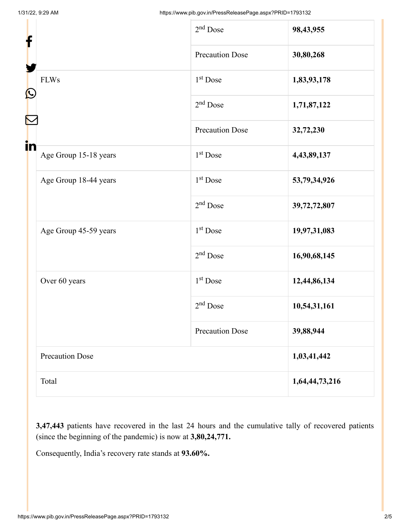| f<br>$\mathbf{\Omega}$ |                        | $2nd$ Dose             | 98,43,955      |
|------------------------|------------------------|------------------------|----------------|
|                        |                        | <b>Precaution Dose</b> | 30,80,268      |
|                        | <b>FLWs</b>            | $1st$ Dose             | 1,83,93,178    |
|                        |                        | $2nd$ Dose             | 1,71,87,122    |
|                        |                        | <b>Precaution Dose</b> | 32,72,230      |
| in                     | Age Group 15-18 years  | 1 <sup>st</sup> Dose   | 4,43,89,137    |
|                        | Age Group 18-44 years  | 1 <sup>st</sup> Dose   | 53,79,34,926   |
|                        |                        | $2nd$ Dose             | 39,72,72,807   |
|                        | Age Group 45-59 years  | 1 <sup>st</sup> Dose   | 19,97,31,083   |
|                        |                        | $2nd$ Dose             | 16,90,68,145   |
|                        | Over 60 years          | $1st$ Dose             | 12,44,86,134   |
|                        |                        | $2nd$ Dose             | 10,54,31,161   |
|                        |                        | <b>Precaution Dose</b> | 39,88,944      |
|                        | <b>Precaution Dose</b> |                        | 1,03,41,442    |
|                        | Total                  |                        | 1,64,44,73,216 |

**3,47,443** patients have recovered in the last 24 hours and the cumulative tally of recovered patients (since the beginning of the pandemic) is now at **3,80,24,771.**

Consequently, India's recovery rate stands at **93.60%.**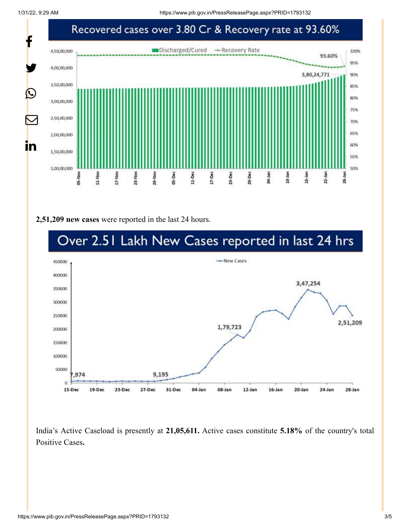1/31/22, 9:29 AM https://www.pib.gov.in/PressReleasePage.aspx?PRID=1793132



#### **2,51,209 new cases** were reported in the last 24 hours.



India's Active Caseload is presently at **21,05,611.** Active cases constitute **5.18%** of the country's total Positive Cases**.**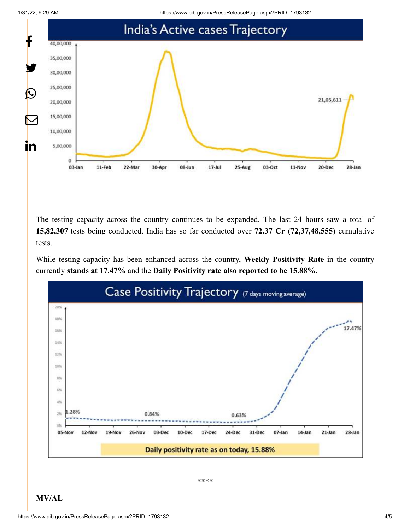



The testing capacity across the country continues to be expanded. The last 24 hours saw a total of **15,82,307** tests being conducted. India has so far conducted over **72.37 Cr (72,37,48,555**) cumulative tests.

While testing capacity has been enhanced across the country, **Weekly Positivity Rate** in the country currently **stands at 17.47%** and the **Daily Positivity rate also reported to be 15.88%.**



\*\*\*\*

**MV/AL**